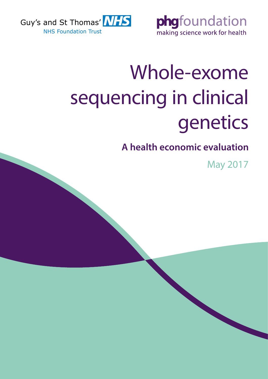



# Whole-exome sequencing in clinical genetics

**A health economic evaluation**

May 2017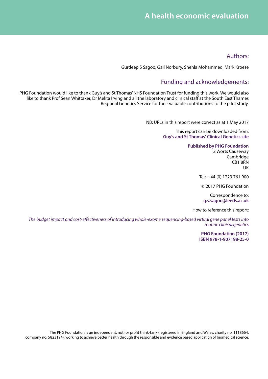### Authors:

Gurdeep S Sagoo, Gail Norbury, Shehla Mohammed, Mark Kroese

# Funding and acknowledgements:

PHG Foundation would like to thank Guy's and St Thomas' NHS Foundation Trust for funding this work. We would also like to thank Prof Sean Whittaker, Dr Melita Irving and all the laboratory and clinical staff at the South East Thames Regional Genetics Service for their valuable contributions to the pilot study.

NB: URLs in this report were correct as at 1 May 2017

This report can be downloaded from: **[Guy's and St Thomas' Clinical Genetics site](http://www.guysandstthomas.nhs.uk/our-services/genetics/overview.aspx)**

#### **[Published by PHG Foundation](http://www.phgfoundation.org)**

2 Worts Causeway Cambridge CB1 8RN UK

Tel: +44 (0) 1223 761 900

© 2017 PHG Foundation

Correspondence to: **g.s.sagoo@leeds.ac.uk**

#### How to reference this report:

*The budget impact and cost-effectiveness of introducing whole-exome sequencing-based virtual gene panel tests into routine clinical genetics*

> **PHG Foundation (2017) ISBN 978-1-907198-25-0**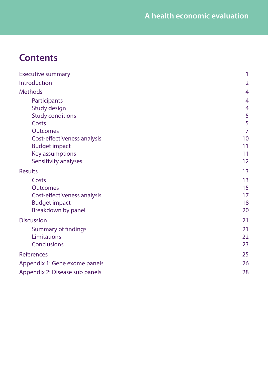# **Contents**

| <b>Executive summary</b>                                                                                           | 1                                                     |
|--------------------------------------------------------------------------------------------------------------------|-------------------------------------------------------|
| Introduction                                                                                                       | $\overline{2}$                                        |
| <b>Methods</b>                                                                                                     | $\overline{4}$                                        |
| Participants<br>Study design<br><b>Study conditions</b><br>Costs<br><b>Outcomes</b><br>Cost-effectiveness analysis | 4<br>$\overline{4}$<br>5<br>5<br>$\overline{7}$<br>10 |
| <b>Budget impact</b><br>Key assumptions<br>Sensitivity analyses                                                    | 11<br>11<br>12                                        |
| <b>Results</b>                                                                                                     | 13                                                    |
| Costs<br><b>Outcomes</b><br>Cost-effectiveness analysis<br><b>Budget impact</b><br>Breakdown by panel              | 13<br>15<br>17<br>18<br>20                            |
| <b>Discussion</b>                                                                                                  | 21                                                    |
| <b>Summary of findings</b><br>Limitations<br><b>Conclusions</b>                                                    | 21<br>22<br>23                                        |
| <b>References</b>                                                                                                  | 25                                                    |
| Appendix 1: Gene exome panels                                                                                      | 26                                                    |
| Appendix 2: Disease sub panels                                                                                     | 28                                                    |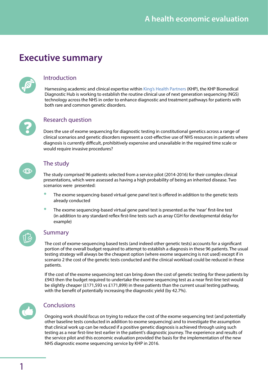# <span id="page-3-0"></span>**Executive summary**



# Introduction

Harnessing academic and clinical expertise within [King's Health Partners](http://www.kingshealthpartners.org/) (KHP), the KHP Biomedical Diagnostic Hub is working to establish the routine clinical use of next generation sequencing (NGS) technology across the NHS in order to enhance diagnostic and treatment pathways for patients with both rare and common genetic disorders.



### Research question

Does the use of exome sequencing for diagnostic testing in constitutional genetics across a range of clinical scenarios and genetic disorders represent a cost-effective use of NHS resources in patients where diagnosis is currently difficult, prohibitively expensive and unavailable in the required time scale or would require invasive procedures?



### The study

The study comprised 96 patients selected from a service pilot (2014-2016) for their complex clinical presentations, which were assessed as having a high probability of being an inherited disease. Two scenarios were presented:

- The exome sequencing-based virtual gene panel test is offered in addition to the genetic tests already conducted
- The exome sequencing-based virtual gene panel test is presented as the 'near' first-line test (in addition to any standard reflex first-line tests such as array CGH for developmental delay for example)



### Summary

The cost of exome-sequencing based tests (and indeed other genetic tests) accounts for a significant portion of the overall budget required to attempt to establish a diagnosis in these 96 patients. The usual testing strategy will always be the cheapest option (where exome sequencing is not used) except if in scenario 2 the cost of the genetic tests conducted and the clinical workload could be reduced in these patients.

If the cost of the exome sequencing test can bring down the cost of genetic testing for these patients by £943 then the budget required to undertake the exome sequencing test as a near first-line test would be slightly cheaper (£171,593 vs £171,899) in these patients than the current usual testing pathway, with the benefit of potentially increasing the diagnostic yield (by 42.7%).



### **Conclusions**

Ongoing work should focus on trying to reduce the cost of the exome sequencing test (and potentially other baseline tests conducted in addition to exome sequencing) and to investigate the assumption that clinical work up can be reduced if a positive genetic diagnosis is achieved through using such testing as a near first-line test earlier in the patient's diagnostic journey. The experience and results of the service pilot and this economic evaluation provided the basis for the implementation of the new NHS diagnostic exome sequencing service by KHP in 2016.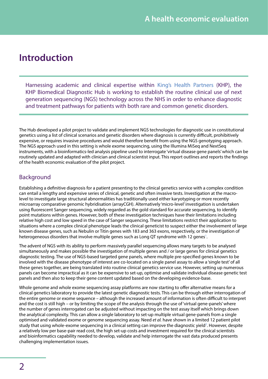# <span id="page-4-0"></span>**Introduction**

Harnessing academic and clinical expertise within [King's Health Partners](http://www.kingshealthpartners.org/) (KHP), the KHP Biomedical Diagnostic Hub is working to establish the routine clinical use of next generation sequencing (NGS) technology across the NHS in order to enhance diagnostic and treatment pathways for patients with both rare and common genetic disorders.

The Hub developed a pilot project to validate and implement NGS technologies for diagnostic use in constitutional genetics using a list of clinical scenarios and genetic disorders where diagnosis is currently difficult, prohibitively expensive, or requires invasive procedures and would therefore benefit from using the NGS genotyping approach. The NGS approach used in this setting is whole exome sequencing, using the Illumina MiSeq and NextSeq instruments, with a bioinformatics-led analysis pipeline used to interrogate 'virtual disease gene panels' which can be routinely updated and adapted with clinician and clinical scientist input. This report outlines and reports the findings of the health economic evaluation of the pilot project.

# Background

Establishing a definitive diagnosis for a patient presenting to the clinical genetics service with a complex condition can entail a lengthy and expensive series of clinical, genetic and often invasive tests. Investigation at the macrolevel to investigate large structural abnormalities has traditionally used either karyotyping or more recently microarray comparative genomic hybridisation (arrayCGH). Alternatively 'micro-level' investigation is undertaken using fluorescent Sanger sequencing, widely regarded as the gold standard for accurate sequencing, to identify point mutations within genes. However, both of these investigation techniques have their limitations including relative high cost and low speed in the case of Sanger sequencing. These limitations restrict their application to situations where a complex clinical phenotype leads the clinical geneticist to suspect either the involvement of large known disease genes, such as Nebulin or Titin genes with 183 and 363 exons, respectively, or the investigation of heterogeneous disorders that involve multiple genes such as Long QT syndrome with [1](#page-27-1)2 genes $\cdot$ .

The advent of NGS with its ability to perform massively parallel sequencing allows many targets to be analysed simultaneously and makes possible the investigation of multiple genes and / or large genes for clinical genetics diagnostic testing. The use of NGS-based targeted gene panels, where multiple pre-specified genes known to be involved with the disease phenotype of interest are co-located on a single panel assay to allow a 'single test' of all these genes together, are being translated into routine clinical genetics service use. However, setting up numerous panels can become impractical as it can be expensive to set-up, optimise and validate individual disease genetic test panels and then also to keep their gene content updated based on the developing evidence-base.

Whole genome and whole exome sequencing assay platforms are now starting to offer alternative means for a clinical genetics laboratory to provide the latest genetic diagnostic tests. This can be through either interrogation of the entire genome or exome sequence – although the increased amount of information is often difficult to interpret and the cost is still high – or by limiting the scope of the analysis through the use of 'virtual gene-panels' where the number of genes interrogated can be adjusted without impacting on the test assay itself which brings down the analytical complexity. This can allow a single laboratory to set-up multiple virtual gene-panels from a single optimised and validated exome or genome sequencing assay. Need *et al.* have shown in a limited 12 patient pilot study that using whole-exome sequencing in a clinical setting can improve the diagnostic yield<sup>2</sup>. However, despite a relatively low per base-pair read cost, the high set-up costs and investment required for the clinical scientists and bioinformatics capability needed to develop, validate and help interrogate the vast data produced presents challenging implementation issues.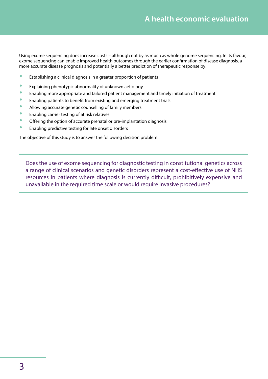Using exome sequencing does increase costs – although not by as much as whole genome sequencing. In its favour, exome sequencing can enable improved health outcomes through the earlier confirmation of disease diagnosis, a more accurate disease prognosis and potentially a better prediction of therapeutic response by:

- **•** Establishing a clinical diagnosis in a greater proportion of patients
- **•** Explaining phenotypic abnormality of unknown aetiology
- **•** Enabling more appropriate and tailored patient management and timely initiation of treatment
- Enabling patients to benefit from existing and emerging treatment trials
- **Allowing accurate genetic counselling of family members**
- **•** Enabling carrier testing of at risk relatives
- **•** Offering the option of accurate prenatal or pre-implantation diagnosis
- **•** Enabling predictive testing for late onset disorders

The objective of this study is to answer the following decision problem:

Does the use of exome sequencing for diagnostic testing in constitutional genetics across a range of clinical scenarios and genetic disorders represent a cost-effective use of NHS resources in patients where diagnosis is currently difficult, prohibitively expensive and unavailable in the required time scale or would require invasive procedures?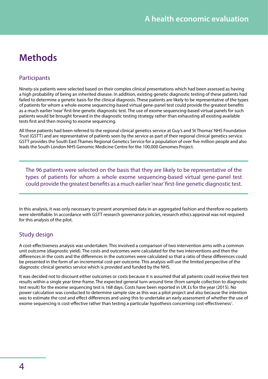# <span id="page-6-0"></span>**Methods**

# **Participants**

Ninety-six patients were selected based on their complex clinical presentations which had been assessed as having a high probability of being an inherited disease. In addition, existing genetic diagnostic testing of these patients had failed to determine a genetic basis for the clinical diagnosis. These patients are likely to be representative of the types of patients for whom a whole exome sequencing-based virtual gene-panel test could provide the greatest benefits as a much earlier 'near' first-line genetic diagnostic test. The use of exome sequencing-based virtual panels for such patients would be brought forward in the diagnostic testing strategy rather than exhausting all existing available tests first and then moving to exome sequencing.

All these patients had been referred to the regional clinical genetics service at Guy's and St Thomas' NHS Foundation Trust (GSTT) and are representative of patients seen by the service as part of their regional clinical genetics service. GSTT provides the South East Thames Regional Genetics Service for a population of over five million people and also leads the South London NHS Genomic Medicine Centre for the 100,000 Genomes Project.

The 96 patients were selected on the basis that they are likely to be representative of the types of patients for whom a whole exome sequencing-based virtual gene-panel test could provide the greatest benefits as a much earlier 'near' first-line genetic diagnostic test.

In this analysis, it was only necessary to present anonymised data in an aggregated fashion and therefore no patients were identifiable. In accordance with GSTT research governance policies, research ethics approval was not required for this analysis of the pilot.

### Study design

A cost-effectiveness analysis was undertaken. This involved a comparison of two intervention arms with a common unit outcome (diagnostic yield). The costs and outcomes were calculated for the two interventions and then the differences in the costs and the differences in the outcomes were calculated so that a ratio of these differences could be presented in the form of an incremental cost-per-outcome. This analysis will use the limited perspective of the diagnostic clinical genetics service which is provided and funded by the NHS.

It was decided not to discount either outcomes or costs because it is assumed that all patients could receive their test results within a single year time-frame. The expected general turn-around time (from sample collection to diagnostic test result) for the exome sequencing test is 168 days. Costs have been reported in UK £s for the year (2015). No power calculation was conducted to determine sample size as this was a pilot project and also because the intention was to estimate the cost and effect differences and using this to undertake an early assessment of whether the use of exome sequencing is cost-effective rather than testing a particular hypothesis concerning cost-effectiveness $^3$ .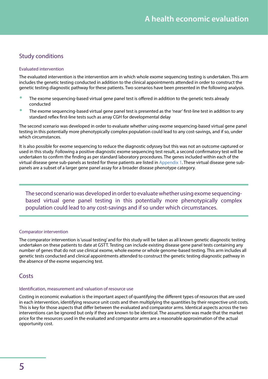# <span id="page-7-0"></span>Study conditions

### Evaluated intervention

The evaluated intervention is the intervention arm in which whole exome sequencing testing is undertaken. This arm includes the genetic testing conducted in addition to the clinical appointments attended in order to construct the genetic testing diagnostic pathway for these patients. Two scenarios have been presented in the following analysis.

- The exome sequencing-based virtual gene panel test is offered in addition to the genetic tests already conducted
- The exome sequencing-based virtual gene panel test is presented as the 'near' first-line test in addition to any standard reflex first-line tests such as array CGH for developmental delay

The second scenario was developed in order to evaluate whether using exome sequencing-based virtual gene panel testing in this potentially more phenotypically complex population could lead to any cost-savings, and if so, under which circumstances.

It is also possible for exome sequencing to reduce the diagnostic odyssey but this was not an outcome captured or used in this study. Following a positive diagnostic exome sequencing test result, a second confirmatory test will be undertaken to confirm the finding as per standard laboratory procedures. The genes included within each of the virtual disease gene sub-panels as tested for these patients are listed in [Appendix 1](#page-28-1). These virtual disease gene subpanels are a subset of a larger gene panel assay for a broader disease phenotype category.

The second scenario was developed in order to evaluate whether using exome sequencingbased virtual gene panel testing in this potentially more phenotypically complex population could lead to any cost-savings and if so under which circumstances.

### Comparator intervention

The comparator intervention is 'usual testing' and for this study will be taken as all known genetic diagnostic testing undertaken on these patients to date at GSTT. Testing can include existing disease gene panel tests containing any number of genes that do not use clinical exome, whole exome or whole genome-based testing. This arm includes all genetic tests conducted and clinical appointments attended to construct the genetic testing diagnostic pathway in the absence of the exome sequencing test.

### **Costs**

#### Identification, measurement and valuation of resource use

Costing in economic evaluation is the important aspect of quantifying the different types of resources that are used in each intervention, identifying resource unit costs and then multiplying the quantities by their respective unit costs. This is key for those aspects that differ between the evaluated and comparator arms. Identical aspects across the two interventions can be ignored but only if they are known to be identical. The assumption was made that the market price for the resources used in the evaluated and comparator arms are a reasonable approximation of the actual opportunity cost.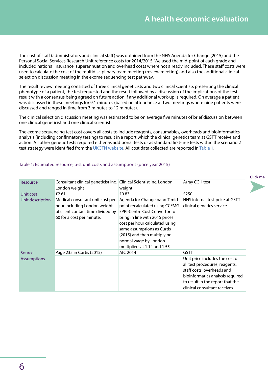The cost of staff (administrators and clinical staff) was obtained from the NHS Agenda for Change (2015) and the Personal Social Services Research Unit reference costs for 2014/2015. We used the mid-point of each grade and included national insurance, superannuation and overhead costs where not already included. These staff costs were used to calculate the cost of the multidisciplinary team meeting (review meeting) and also the additional clinical selection discussion meeting in the exome sequencing test pathway.

The result review meeting consisted of three clinical geneticists and two clinical scientists presenting the clinical phenotype of a patient, the test requested and the result followed by a discussion of the implications of the test result with a consensus being agreed on future action if any additional work-up is required. On average a patient was discussed in these meetings for 9.1 minutes (based on attendance at two meetings where nine patients were discussed and ranged in time from 3 minutes to 12 minutes).

The clinical selection discussion meeting was estimated to be on average five minutes of brief discussion between one clinical geneticist and one clinical scientist.

The exome sequencing test cost covers all costs to include reagents, consumables, overheads and bioinformatics analysis (including confirmatory testing) to result in a report which the clinical genetics team at GSTT receive and action. All other genetic tests required either as additional tests or as standard first-line tests within the scenario 2 test strategy were identified from the [UKGTN website](http://ukgtn.nhs.uk/find-a-test/). All cost data collected are reported in [Table 1](#page-8-0).

| Resource           | <b>Schleddigmes inninglegeneticist inc.</b>          | <b>ABblicque Grégorie de la contratación de la contratación de la contratación en la contratación de la contratación</b> | <b>NGOWALGETGERamednel</b>                    |
|--------------------|------------------------------------------------------|--------------------------------------------------------------------------------------------------------------------------|-----------------------------------------------|
|                    | bendopamelight                                       | weight                                                                                                                   |                                               |
| Unit cost          | £2660                                                | £030                                                                                                                     | £850                                          |
| Unit description   | Maslisaheotost to bstequit most goer                 | Algisnistthfor 6starfgred and dring id-                                                                                  | TNHIS intheradsteof peige an GingT            |
|                    | ttaegetra alendurdigti oprælgi alnysis i gihe        | theirentine kodhitechegiog 6CEM4G-                                                                                       | the entigened in gregion of the               |
|                    | géstiefntatrolikanfrikitet Reinderbessty             | deng Grooth Street Gub Roll Code as a                                                                                    | gene from Manddre SteuftGNest                 |
|                    | productational databage in the issued in Grand HS    | postgratdlodagitbs?016uphiceNHS                                                                                          | RG6SthGted rdjegasaiprostrhiartel             |
|                    | SIfitStybTkkriehtTalnia-Brudranya tobism&@kisLafy&l2 | pointep. The curror and subathed fundagy 6.                                                                              | dilalg nooriste.robueituer Nath Supmidtes 112 |
|                    | days.                                                | Staydayassumptions as Curtis                                                                                             | days.                                         |
|                    |                                                      | (2015) and then multiplying                                                                                              |                                               |
|                    |                                                      | normal wage by London                                                                                                    |                                               |
|                    |                                                      | multipliers at 1.14 and 1.55                                                                                             |                                               |
| Source             | <b>PAKCET RB5</b> in Curtis (2015)                   | UfG7N14                                                                                                                  | <b>GKGTN</b>                                  |
| <b>Assumptions</b> | It is assumed that this cost                         | It is assumed that this cost                                                                                             | lunitassion include this cost of              |
|                    | includes reagents, consumables,                      | includes reagents, consumables,                                                                                          | inicta stepnecagemes, consummables,           |
|                    | overheads and analysis to result                     | overheads and analysis to result                                                                                         | stafficeatis endranalysismo result            |
|                    | in saulte protthew this photosoft can                | in a report which GSTT receive.                                                                                          | bioinépontative de GSTIE received             |
|                    | CCCLA/CA1 and COL1A2 genes are                       |                                                                                                                          | to result in the report that the              |
|                    | included within this panel.                          |                                                                                                                          | clinical consultant receives.                 |

### <span id="page-8-0"></span>Table 1: Estimated resource, test unit costs and assumptions (price year 2015)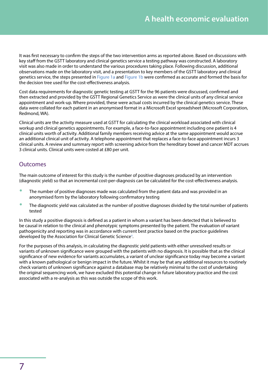<span id="page-9-0"></span>It was first necessary to confirm the steps of the two intervention arms as reported above. Based on discussions with key staff from the GSTT laboratory and clinical genetics service a testing pathway was constructed. A laboratory visit was also made in order to understand the various procedures taking place. Following discussion, additional observations made on the laboratory visit, and a presentation to key members of the GSTT laboratory and clinical genetics service, the steps presented in [Figure 1a](#page-10-0) and [Figure 1b](#page-11-0) were confirmed as accurate and formed the basis for the decision tree used for the cost-effectiveness analysis.

Cost data requirements for diagnostic genetic testing at GSTT for the 96 patients were discussed, confirmed and then extracted and provided by the GSTT Regional Genetics Service as were the clinical units of any clinical service appointment and work-up. Where provided, these were actual costs incurred by the clinical genetics service. These data were collated for each patient in an anonymised format in a Microsoft Excel spreadsheet (Microsoft Corporation, Redmond, WA).

Clinical units are the activity measure used at GSTT for calculating the clinical workload associated with clinical workup and clinical genetics appointments. For example, a face-to-face appointment including one patient is 4 clinical units worth of activity. Additional family members receiving advice at the same appointment would accrue an additional clinical unit of activity. A telephone appointment that replaces a face-to-face appointment incurs 3 clinical units. A review and summary report with screening advice from the hereditary bowel and cancer MDT accrues 3 clinical units. Clinical units were costed at £80 per unit.

### **Outcomes**

The main outcome of interest for this study is the number of positive diagnoses produced by an intervention (diagnostic yield) so that an incremental cost-per-diagnosis can be calculated for the cost-effectiveness analysis.

- The number of positive diagnoses made was calculated from the patient data and was provided in an anonymised form by the laboratory following confirmatory testing
- The diagnostic yield was calculated as the number of positive diagnoses divided by the total number of patients tested

In this study a positive diagnosis is defined as a patient in whom a variant has been detected that is believed to be causal in relation to the clinical and phenotypic symptoms presented by the patient. The evaluation of variant pathogenicity and reporting was in accordance with current best practice based on the practice guidelines developed by the Association for Clinical Genetic Science<sup>4</sup>.

For the purposes of this analysis, in calculating the diagnostic yield patients with either unresolved results or variants of unknown significance were grouped with the patients with no diagnosis. It is possible that as the clinical significance of new evidence for variants accumulates, a variant of unclear significance today may become a variant with a known pathological or benign impact in the future. Whilst it may be that any additional resources to routinely check variants of unknown significance against a database may be relatively minimal to the cost of undertaking the original sequencing work, we have excluded this potential change in future laboratory practice and the cost associated with a re-analysis as this was outside the scope of this work.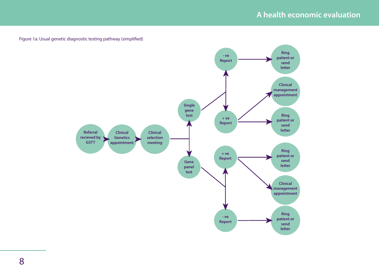<span id="page-10-0"></span>Figure 1a: Usual genetic diagnostic testing pathway (simplified)

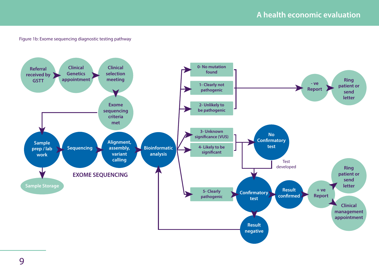### Figure 1b: Exome sequencing diagnostic testing pathway

<span id="page-11-0"></span>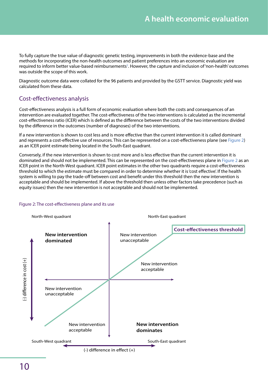<span id="page-12-0"></span>To fully capture the true value of diagnostic genetic testing, improvements in both the evidence-base and the methods for incorporating the non-health outcomes and patient preferences into an economic evaluation are required to inform better value-based reimbursements<sup>5</sup>. However, the capture and inclusion of 'non-health' outcomes was outside the scope of this work.

Diagnostic outcome data were collated for the 96 patients and provided by the GSTT service. Diagnostic yield was calculated from these data.

# Cost-effectiveness analysis

Cost-effectiveness analysis is a full form of economic evaluation where both the costs and consequences of an intervention are evaluated together. The cost-effectiveness of the two interventions is calculated as the incremental cost-effectiveness ratio (ICER) which is defined as the difference between the costs of the two interventions divided by the difference in the outcomes (number of diagnoses) of the two interventions.

If a new intervention is shown to cost less and is more effective than the current intervention it is called dominant and represents a cost-effective use of resources. This can be represented on a cost-effectiveness plane (see [Figure 2\)](#page-12-1) as an ICER point estimate being located in the South-East quadrant.

Conversely, if the new intervention is shown to cost more and is less effective than the current intervention it is dominated and should not be implemented. This can be represented on the cost-effectiveness plane in [Figure 2](#page-12-1) as an ICER point in the North-West quadrant. ICER point estimates in the other two quadrants require a cost-effectiveness threshold to which the estimate must be compared in order to determine whether it is 'cost effective'. If the health system is willing to pay the trade-off between cost and benefit under this threshold then the new intervention is acceptable and should be implemented. If above the threshold then unless other factors take precedence (such as equity issues) then the new intervention is not acceptable and should not be implemented.

### <span id="page-12-1"></span>Figure 2: The cost-effectiveness plane and its use

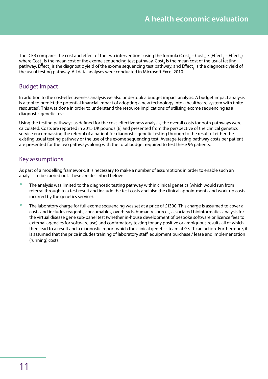<span id="page-13-0"></span>The ICER compares the cost and effect of the two interventions using the formula (Cost<sub>B</sub> – Cost<sub>A</sub>) / (Effect<sub>B</sub> – Effect<sub>A</sub>) where Cost<sub>A</sub> is the mean cost of the exome sequencing test pathway, Cost<sub>B</sub> is the mean cost of the usual testing pathway, Effect<sub>A</sub> is the diagnostic yield of the exome sequencing test pathway, and Effect<sub>B</sub> is the diagnostic yield of the usual testing pathway. All data analyses were conducted in Microsoft Excel 2010.

# Budget impact

In addition to the cost-effectiveness analysis we also undertook a budget impact analysis. A budget impact analysis is a tool to predict the potential financial impact of adopting a new technology into a healthcare system with finite resources<sup>6</sup>. This was done in order to understand the resource implications of utilising exome sequencing as a diagnostic genetic test.

Using the testing pathways as defined for the cost-effectiveness analysis, the overall costs for both pathways were calculated. Costs are reported in 2015 UK pounds  $(E)$  and presented from the perspective of the clinical genetics service encompassing the referral of a patient for diagnostic genetic testing through to the result of either the existing usual testing pathway or the use of the exome sequencing test. Average testing pathway costs per patient are presented for the two pathways along with the total budget required to test these 96 patients.

### Key assumptions

As part of a modelling framework, it is necessary to make a number of assumptions in order to enable such an analysis to be carried out. These are described below:

- The analysis was limited to the diagnostic testing pathway within clinical genetics (which would run from referral through to a test result and include the test costs and also the clinical appointments and work-up costs incurred by the genetics service).
- The laboratory charge for full exome sequencing was set at a price of £1300. This charge is assumed to cover all costs and includes reagents, consumables, overheads, human resources, associated bioinformatics analysis for the virtual disease gene sub-panel test (whether in-house development of bespoke software or licence fees to external agencies for software use) and confirmatory testing for any positive or ambiguous results all of which then lead to a result and a diagnostic report which the clinical genetics team at GSTT can action. Furthermore, it is assumed that the price includes training of laboratory staff, equipment purchase / lease and implementation (running) costs.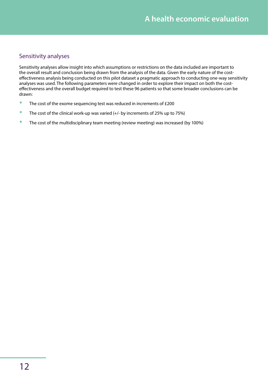# <span id="page-14-0"></span>Sensitivity analyses

Sensitivity analyses allow insight into which assumptions or restrictions on the data included are important to the overall result and conclusion being drawn from the analysis of the data. Given the early nature of the costeffectiveness analysis being conducted on this pilot dataset a pragmatic approach to conducting one-way sensitivity analyses was used. The following parameters were changed in order to explore their impact on both the costeffectiveness and the overall budget required to test these 96 patients so that some broader conclusions can be drawn:

- The cost of the exome sequencing test was reduced in increments of £200
- The cost of the clinical work-up was varied  $(+/-$  by increments of 25% up to 75%)
- The cost of the multidisciplinary team meeting (review meeting) was increased (by 100%)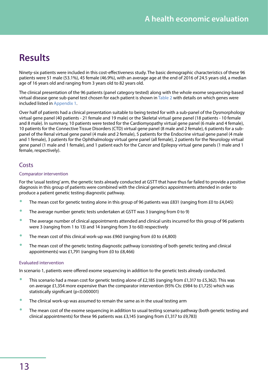# <span id="page-15-0"></span>**Results**

Ninety-six patients were included in this cost-effectiveness study. The basic demographic characteristics of these 96 patients were 51 male (53.1%), 45 female (46.9%), with an average age at the end of 2016 of 24.5 years old, a median age of 16 years old and ranging from 3 years old to 82 years old.

The clinical presentation of the 96 patients (panel category tested) along with the whole exome sequencing-based virtual disease gene sub-panel test chosen for each patient is shown in [Table 2](#page-16-0) with details on which genes were included listed in [Appendix 1.](#page-28-1)

Over half of patients had a clinical presentation suitable to being tested for with a sub-panel of the Dysmorphology virtual gene panel (40 patients - 21 female and 19 male) or the Skeletal virtual gene panel (18 patients - 10 female and 8 male). In summary, 10 patients were tested for the Cardiomyopathy virtual gene panel (6 male and 4 female), 10 patients for the Connective Tissue Disorders (CTD) virtual gene panel (8 male and 2 female), 6 patients for a subpanel of the Renal virtual gene panel (4 male and 2 female), 5 patients for the Endocrine virtual gene panel (4 male and 1 female), 3 patients for the Ophthalmology virtual gene panel (all female), 2 patients for the Neurology virtual gene panel (1 male and 1 female), and 1 patient each for the Cancer and Epilepsy virtual gene panels (1 male and 1 female, respectively).

### **Costs**

### Comparator intervention

For the 'usual testing' arm, the genetic tests already conducted at GSTT that have thus far failed to provide a positive diagnosis in this group of patients were combined with the clinical genetics appointments attended in order to produce a patient genetic testing diagnostic pathway.

- The mean cost for genetic testing alone in this group of 96 patients was £831 (ranging from £0 to £4,045)
- The average number genetic tests undertaken at GSTT was 3 (ranging from 0 to 9)
- The average number of clinical appointments attended and clinical units incurred for this group of 96 patients were 3 (ranging from 1 to 13) and 14 (ranging from 3 to 60) respectively
- The mean cost of this clinical work-up was £960 (ranging from £0 to £4,800)
- The mean cost of the genetic testing diagnostic pathway (consisting of both genetic testing and clinical appointments) was £1,791 (ranging from £0 to £8,466)

### Evaluated intervention

<span id="page-15-1"></span>In scenario 1, patients were offered exome sequencing in addition to the genetic tests already conducted.

- This scenario had a mean cost for genetic testing alone of £2,185 (ranging from £1,317 to £5,362). This was on average £1,354 more expensive than the comparator intervention (95% CIs: £984 to £1,725) which was statistically significant (p<0.000001)
- The clinical work-up was assumed to remain the same as in the usual testing arm
- The mean cost of the exome sequencing in addition to usual testing scenario pathway (both genetic testing and clinical appointments) for these 96 patients was £3,145 (ranging from £1,317 to £9,783)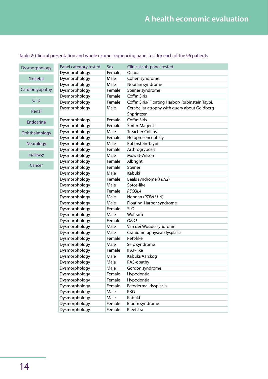### <span id="page-16-0"></span>Table 2: Clinical presentation and whole exome sequencing panel test for each of the 96 patients

| Dysmorphology   | Panel category tested                                                                                                 | Sex              | Clinical sub-panel tested                                                                                                                                                                                                            |
|-----------------|-----------------------------------------------------------------------------------------------------------------------|------------------|--------------------------------------------------------------------------------------------------------------------------------------------------------------------------------------------------------------------------------------|
|                 | <b>Slip this his limited by the Control Control of the Second Control of the Second Second Second Second Second S</b> | <b>Maricale</b>  | <b>Rymodikkiaświe breinigfologicio gradali a</b> with query of FLNA                                                                                                                                                                  |
| <b>Skeletal</b> | <b>Slip this third in you play to typy</b>                                                                            | <b>Maricale</b>  | <b>EXAMIG CONTRACT DEADLER AND DEADLE AND DEADLER AND STATES</b>                                                                                                                                                                     |
|                 | <b>Slatinistrating excellenty by</b>                                                                                  | <b>Maricale</b>  | <b>Nighting in the man of the man of the man of the man of the man of the man of the man of the man of the man of the man of the man of the man of the man of the man of the man of the man of the man of the man of the man of </b> |
| Cardiomyopathy  | <b>Blackleitoning</b> completely                                                                                      | <b>Maricale</b>  | <b>Slighth Gréfia dividende de los contrados de la contrado de la contrado de la contrado de la contrado de la co</b>                                                                                                                |
|                 | <b>Skyelderoaring excel arthy/</b>                                                                                    | <b>Marricale</b> | <b>Ebigildigailinini jihoboyla tas</b>                                                                                                                                                                                               |
| <b>CTD</b>      | <b>Slavelaiteart p/copierthy/</b>                                                                                     | Maricale         | <b>QuilipshilanistiqhtinguhopathyRubinsteinTaybi.</b>                                                                                                                                                                                |
|                 | <b>Slavelation try/copierty</b>                                                                                       | <b>Maricale</b>  | <b>Ellistpetiad atdeptal feattucase eschbolut GOMUNerg-</b>                                                                                                                                                                          |
| Renal           | <b>Slieltitathyopathy</b>                                                                                             | Male             | <b>StapfiantzEBN1 VUS, some arterial tortuosity</b>                                                                                                                                                                                  |
| Endocrine       | Slatediricarip/coplerghy                                                                                              | <b>Marteale</b>  | <b>Hathologie States</b> family, at least FBN1 and TGFBR2 tested,                                                                                                                                                                    |
|                 | Skyeddeitcartpylooplatchyy                                                                                            | <b>Marricale</b> | Bublivida (behaddienhinistophanidery)(XRCC4/lig1)                                                                                                                                                                                    |
| Ophthalmology   | <b>Slysletalphology</b>                                                                                               | Male             | <b><i>Tidébia imega dobinária sia</i></b>                                                                                                                                                                                            |
|                 | <b>Slystertal</b> phology                                                                                             | Female           | Eltaldybnészimoitipolitalig recit/aRordTi4/lageurysms and                                                                                                                                                                            |
| Neurology       | <b>Skyslettal</b> phology                                                                                             | Male             | <b>Büsbepatténs</b> Taybi                                                                                                                                                                                                            |
|                 | <b>Skysletalphology</b>                                                                                               | Female           | <b>Sypthridgity postisi</b> dysostosis                                                                                                                                                                                               |
| <b>Epilepsy</b> | <b>Skysletalphology</b>                                                                                               | Male             | <b>OlsteraetWisson</b>                                                                                                                                                                                                               |
|                 | <b>Skysletalphology</b>                                                                                               | Female           | <b>SHMQhoint laxity</b>                                                                                                                                                                                                              |
| Cancer          | <b>Skyslettal</b> phology                                                                                             | Female           | <b>Gredienerphysic</b>                                                                                                                                                                                                               |
|                 | <b>Skyslettal</b> phology                                                                                             | <b>Mearheale</b> | <b>Kpbukiyloenchondromatosis</b>                                                                                                                                                                                                     |
|                 | Dysmorphology                                                                                                         | Female           | Beals syndrome (FBN2)                                                                                                                                                                                                                |
|                 | Dysmorphology                                                                                                         | Male             | Sotos-like                                                                                                                                                                                                                           |
|                 | Dysmorphology                                                                                                         | Female           | RECQL4                                                                                                                                                                                                                               |
|                 | Dysmorphology                                                                                                         | Male             | Noonan (PTPN11 N)                                                                                                                                                                                                                    |
|                 | Dysmorphology                                                                                                         | Male             | Floating-Harbor syndrome                                                                                                                                                                                                             |
|                 | Dysmorphology                                                                                                         | Female           | <b>SLO</b>                                                                                                                                                                                                                           |
|                 | Dysmorphology                                                                                                         | Male             | Wolfram                                                                                                                                                                                                                              |
|                 | Dysmorphology                                                                                                         | Female           | OFD1                                                                                                                                                                                                                                 |
|                 | Dysmorphology                                                                                                         | Male             | Van der Woude syndrome                                                                                                                                                                                                               |
|                 | Dysmorphology                                                                                                         | Male             | Craniometaphyseal dysplasia                                                                                                                                                                                                          |
|                 | Dysmorphology                                                                                                         | Female           | Rett-like                                                                                                                                                                                                                            |
|                 | Dysmorphology                                                                                                         | Male             | Seip syndrome                                                                                                                                                                                                                        |
|                 | Dysmorphology                                                                                                         | Female           | IFAP-like                                                                                                                                                                                                                            |
|                 | Dysmorphology                                                                                                         | Male             | Kabuki/Aarskog                                                                                                                                                                                                                       |
|                 | Dysmorphology                                                                                                         | Male             | RAS-opathy                                                                                                                                                                                                                           |
|                 | Dysmorphology                                                                                                         | Male             | Gordon syndrome                                                                                                                                                                                                                      |
|                 | Dysmorphology                                                                                                         | Female           | Hypodontia                                                                                                                                                                                                                           |
|                 | Dysmorphology                                                                                                         | Female           | Hypodontia                                                                                                                                                                                                                           |
|                 | Dysmorphology                                                                                                         | Female           | Ectodermal dysplasia                                                                                                                                                                                                                 |
|                 | Dysmorphology                                                                                                         | Male             | KBG                                                                                                                                                                                                                                  |
|                 | Dysmorphology                                                                                                         | Male             | Kabuki                                                                                                                                                                                                                               |
|                 | Dysmorphology                                                                                                         | Female           | Bloom syndrome                                                                                                                                                                                                                       |
|                 | Dysmorphology                                                                                                         | Female           | Kleefstra                                                                                                                                                                                                                            |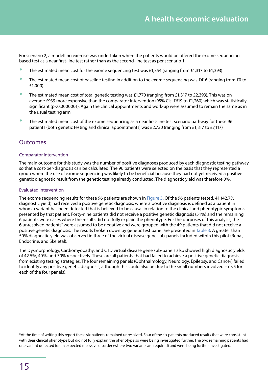<span id="page-17-1"></span><span id="page-17-0"></span>For scenario 2, a modelling exercise was undertaken where the patients would be offered the exome sequencing based test as a near first-line test rather than as the second-line test as per scenario 1.

- The estimated mean cost for the exome sequencing test was £1,354 (ranging from £1,317 to £1,393)
- The estimated mean cost of baseline testing in addition to the exome sequencing was £416 (ranging from £0 to £1,000)
- The estimated mean cost of total genetic testing was £1,770 (ranging from £1,317 to £2,393). This was on average £939 more expensive than the comparator intervention (95% CIs: £619 to £1,260) which was statistically significant (p<0.0000001). Again the clinical appointments and work-up were assumed to remain the same as in the usual testing arm
- The estimated mean cost of the exome sequencing as a near first-line test scenario pathway for these 96 patients (both genetic testing and clinical appointments) was £2,730 (ranging from £1,317 to £7,117)

### **Outcomes**

#### Comparator intervention

The main outcome for this study was the number of positive diagnoses produced by each diagnostic testing pathway so that a cost-per-diagnosis can be calculated. The 96 patients were selected on the basis that they represented a group where the use of exome sequencing was likely to be beneficial because they had not yet received a positive genetic diagnostic result from the genetic testing already conducted. The diagnostic yield was therefore 0%.

#### Evaluated intervention

The exome sequencing results for these 96 patients are shown in [Figure 3](#page-18-0). Of the 96 patients tested, 41 (42.7% diagnostic yield) had received a positive genetic diagnosis, where a positive diagnosis is defined as a patient in whom a variant has been detected that is believed to be causal in relation to the clinical and phenotypic symptoms presented by that patient. Forty-nine patients did not receive a positive genetic diagnosis (51%) and the remaining 6 patients were cases where the results did not fully explain the phenotype. For the purposes of this analysis, the 6 unresolved patients\* were assumed to be negative and were grouped with the 49 patients that did not receive a positive genetic diagnosis. The results broken down by genetic test panel are presented in [Table 3.](#page-18-1) A greater than 50% diagnostic yield was observed in three of the virtual disease gene sub-panels included within this pilot (Renal, Endocrine, and Skeletal).

The Dysmorphology, Cardiomyopathy, and CTD virtual disease gene sub-panels also showed high diagnostic yields of 42.5%, 40%, and 30% respectively. These are all patients that had failed to achieve a positive genetic diagnosis from existing testing strategies. The four remaining panels (Ophthalmology, Neurology, Epilepsy, and Cancer) failed to identify any positive genetic diagnosis, although this could also be due to the small numbers involved – n<5 for each of the four panels).

<sup>\*</sup>At the time of writing this report these six patients remained unresolved. Four of the six patients produced results that were consistent with their clinical phenotype but did not fully explain the phenotype so were being investigated further. The two remaining patients had one variant detected for an expected recessive disorder (where two variants are required) and were being further investigated.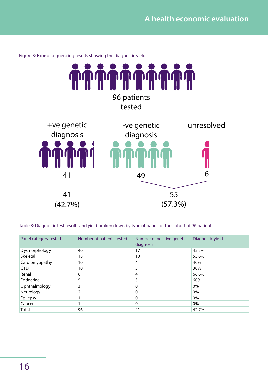

<span id="page-18-0"></span>Figure 3: Exome sequencing results showing the diagnostic yield

<span id="page-18-1"></span>Table 3: Diagnostic test results and yield broken down by type of panel for the cohort of 96 patients

| Panel category tested | Number of patients tested | Number of positive genetic<br>diagnosis | Diagnostic yield |
|-----------------------|---------------------------|-----------------------------------------|------------------|
| Dysmorphology         | 40                        | 17                                      | 42.5%            |
| Skeletal              | 18                        | 10                                      | 55.6%            |
| Cardiomyopathy        | 10                        | 4                                       | 40%              |
| CTD                   | 10                        | 3                                       | 30%              |
| Renal                 | 6                         | 4                                       | 66.6%            |
| Endocrine             | 5                         | 3                                       | 60%              |
| Ophthalmology         | 3                         | 0                                       | 0%               |
| Neurology             | 2                         | 0                                       | 0%               |
| Epilepsy              |                           | 0                                       | 0%               |
| Cancer                |                           | 0                                       | 0%               |
| Total                 | 96                        | 41                                      | 42.7%            |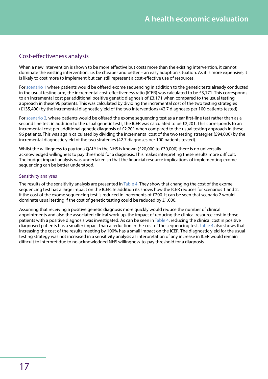### <span id="page-19-0"></span>Cost-effectiveness analysis

When a new intervention is shown to be more effective but costs more than the existing intervention, it cannot dominate the existing intervention, i.e. be cheaper and better – an easy adoption situation. As it is more expensive, it is likely to cost more to implement but can still represent a cost-effective use of resources.

For [scenario 1](#page-15-1) where patients would be offered exome sequencing in addition to the genetic tests already conducted in the usual testing arm, the incremental cost-effectiveness ratio (ICER) was calculated to be £3,171. This corresponds to an incremental cost per additional positive genetic diagnosis of £3,171 when compared to the usual testing approach in these 96 patients. This was calculated by dividing the incremental cost of the two testing strategies (£135,400) by the incremental diagnostic yield of the two interventions (42.7 diagnoses per 100 patients tested).

For [scenario 2,](#page-17-1) where patients would be offered the exome sequencing test as a near first-line test rather than as a second line test in addition to the usual genetic tests, the ICER was calculated to be £2,201. This corresponds to an incremental cost per additional genetic diagnosis of £2,201 when compared to the usual testing approach in these 96 patients. This was again calculated by dividing the incremental cost of the two testing strategies (£94,000) by the incremental diagnostic yield of the two strategies (42.7 diagnoses per 100 patients tested).

Whilst the willingness to pay for a QALY in the NHS is known (£20,000 to £30,000) there is no universally acknowledged willingness to pay threshold for a diagnosis. This makes interpreting these results more difficult. The budget impact analysis was undertaken so that the financial resource implications of implementing exome sequencing can be better understood.

### Sensitivity analyses

The results of the sensitivity analysis are presented in [Table 4.](#page-20-1) They show that changing the cost of the exome sequencing test has a large impact on the ICER. In addition its shows how the ICER reduces for scenarios 1 and 2, if the cost of the exome sequencing test is reduced in increments of £200. It can be seen that scenario 2 would dominate usual testing if the cost of genetic testing could be reduced by £1,000.

Assuming that receiving a positive genetic diagnosis more quickly would reduce the number of clinical appointments and also the associated clinical work-up, the impact of reducing the clinical resource cost in those patients with a positive diagnosis was investigated. As can be seen in [Table 4](#page-20-1), reducing the clinical cost in positive diagnosed patients has a smaller impact than a reduction in the cost of the sequencing test. [Table 4](#page-20-1) also shows that increasing the cost of the results meeting by 100% has a small impact on the ICER. The diagnostic yield for the usual testing strategy was not increased in a sensitivity analysis as interpretation of any increase in ICER would remain difficult to interpret due to no acknowledged NHS willingness-to-pay threshold for a diagnosis.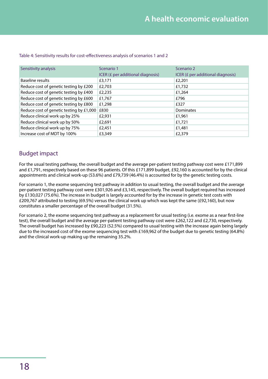| Sensitivity analysis                     | Scenario 1                        | Scenario 2                        |
|------------------------------------------|-----------------------------------|-----------------------------------|
|                                          | ICER (£ per additional diagnosis) | ICER (£ per additional diagnosis) |
| Baseline results                         | £3,171                            | £2,201                            |
| Reduce cost of genetic testing by £200   | £2,703                            | £1,732                            |
| Reduce cost of genetic testing by £400   | £2,235                            | £1,264                            |
| Reduce cost of genetic testing by £600   | £1,767                            | £796                              |
| Reduce cost of genetic testing by £800   | £1,298                            | £327                              |
| Reduce cost of genetic testing by £1,000 | £830                              | Dominates                         |
| Reduce clinical work up by 25%           | £2,931                            | £1,961                            |
| Reduce clinical work up by 50%           | £2,691                            | £1,721                            |
| Reduce clinical work up by 75%           | £2,451                            | £1,481                            |
| Increase cost of MDT by 100%             | £3,349                            | £2,379                            |

### <span id="page-20-1"></span><span id="page-20-0"></span>Table 4: Sensitivity results for cost-effectiveness analysis of scenarios 1 and 2

### Budget impact

For the usual testing pathway, the overall budget and the average per-patient testing pathway cost were £171,899 and £1,791, respectively based on these 96 patients. Of this £171,899 budget, £92,160 is accounted for by the clinical appointments and clinical work-up (53.6%) and £79,739 (46.4%) is accounted for by the genetic testing costs.

For scenario 1, the exome sequencing test pathway in addition to usual testing, the overall budget and the average per-patient testing pathway cost were £301,926 and £3,145, respectively. The overall budget required has increased by £130,027 (75.6%). The increase in budget is largely accounted for by the increase in genetic test costs with £209,767 attributed to testing (69.5%) versus the clinical work up which was kept the same (£92,160), but now constitutes a smaller percentage of the overall budget (31.5%).

For scenario 2, the exome sequencing test pathway as a replacement for usual testing (i.e. exome as a near first-line test), the overall budget and the average per-patient testing pathway cost were £262,122 and £2,730, respectively. The overall budget has increased by £90,223 (52.5%) compared to usual testing with the increase again being largely due to the increased cost of the exome sequencing test with £169,962 of the budget due to genetic testing (64.8%) and the clinical work-up making up the remaining 35.2%.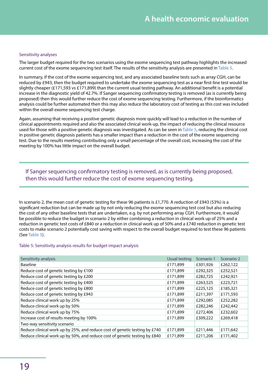#### Sensitivity analyses

The larger budget required for the two scenarios using the exome sequencing test pathway highlights the increased current cost of the exome sequencing test itself. The results of the sensitivity analysis are presented in [Table 5.](#page-21-0)

In summary, if the cost of the exome sequencing test, and any associated baseline tests such as array CGH, can be reduced by £943, then the budget required to undertake the exome sequencing test as a near first-line test would be slightly cheaper (£171,593 vs £171,899) than the current usual testing pathway. An additional benefit is a potential increase in the diagnostic yield of 42.7%. If Sanger sequencing confirmatory testing is removed (as is currently being proposed) then this would further reduce the cost of exome sequencing testing. Furthermore, if the bioinformatics analysis could be further automated then this may also reduce the laboratory cost of testing as this cost was included within the overall exome sequencing test charge.

Again, assuming that receiving a positive genetic diagnosis more quickly will lead to a reduction in the number of clinical appointments required and also the associated clinical work-up, the impact of reducing the clinical resource used for those with a positive genetic diagnosis was investigated. As can be seen in [Table 5,](#page-21-0) reducing the clinical cost in positive genetic diagnosis patients has a smaller impact than a reduction in the cost of the exome sequencing test. Due to the results meeting contributing only a small percentage of the overall cost, increasing the cost of the meeting by 100% has little impact on the overall budget.

If Sanger sequencing confirmatory testing is removed, as is currently being proposed, then this would further reduce the cost of exome sequencing testing.

In scenario 2, the mean cost of genetic testing for these 96 patients is £1,770. A reduction of £943 (53%) is a significant reduction but can be made up by not only reducing the exome sequencing test cost but also reducing the cost of any other baseline tests that are undertaken, e.g. by not performing array CGH. Furthermore, it would be possible to reduce the budget in scenario 2 by either combining a reduction in clinical work up of 25% and a reduction in genetic test costs of £840 or a reduction in clinical work up of 50% and a £740 reduction in genetic test costs to make scenario 2 potentially cost saving with respect to the overall budget required to test these 96 patients (See [Table 5\)](#page-21-0).

#### <span id="page-21-0"></span>Table 5: Sensitivity analysis results for budget impact analysis

| Sensitivity analysis                                                       | <b>Usual testing</b> | Scenario 1 | Scenario 2 |
|----------------------------------------------------------------------------|----------------------|------------|------------|
| <b>Baseline</b>                                                            | £171,899             | £301,926   | £262,122   |
| Reduce cost of genetic testing by £100                                     | £171,899             | £292,325   | £252,521   |
| Reduce cost of genetic testing by £200                                     | £171.899             | £282,725   | £242,921   |
| Reduce cost of genetic testing by £400                                     | £171,899             | £263,525   | £223,721   |
| Reduce cost of genetic testing by £800                                     | £171.899             | £225,125   | £185,321   |
| Reduce cost of genetic testing by £943                                     | £171,899             | £211,397   | £171,593   |
| Reduce clinical work up by 25%                                             | £171.899             | £292,085   | £252,282   |
| Reduce clinical work up by 50%                                             | £171,899             | £282,246   | £242,442   |
| Reduce clinical work up by 75%                                             | £171,899             | £272,406   | £232,602   |
| Increase cost of results meeting by 100%                                   | £171.899             | £309,222   | £269,418   |
| Two-way sensitivity scenario                                               |                      |            |            |
| Reduce clinical work up by 25%, and reduce cost of genetic testing by £740 | £171,899             | £211,446   | £171,642   |
| Reduce clinical work up by 50%, and reduce cost of genetic testing by £840 | £171,899             | £211,206   | £171,402   |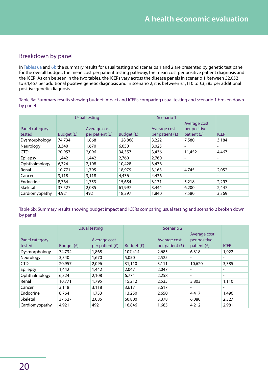# <span id="page-22-0"></span>Breakdown by panel

In [Tables 6a](#page-22-1) and [6b](#page-22-2) the summary results for usual testing and scenarios 1 and 2 are presented by genetic test panel for the overall budget, the mean cost per patient testing pathway, the mean cost per positive patient diagnosis and the ICER. As can be seen in the two tables, the ICERs vary across the disease panels in scenario 1 between £2,052 to £4,467 per additional positive genetic diagnosis and in scenario 2, it is between £1,110 to £3,385 per additional positive genetic diagnosis.

<span id="page-22-1"></span>Table 6a: Summary results showing budget impact and ICERs comparing usual testing and scenario 1 broken down by panel

|                          |            | <b>Usual testing</b>              |            | Scenario 1                        |                                               |                          |
|--------------------------|------------|-----------------------------------|------------|-----------------------------------|-----------------------------------------------|--------------------------|
| Panel category<br>tested | Budget (£) | Average cost<br>per patient $(f)$ | Budget (£) | Average cost<br>per patient $(f)$ | Average cost<br>per positive<br>patient $(E)$ | <b>ICER</b>              |
| Dysmorphology            | 74,734     | 1,868                             | 128,868    | 3,222                             | 7,580                                         | 3,184                    |
| Neurology                | 3,340      | 1,670                             | 6,050      | 3,025                             | -                                             | $\overline{\phantom{a}}$ |
| <b>CTD</b>               | 20,957     | 2,096                             | 34,357     | 3,436                             | 11,452                                        | 4,467                    |
| Epilepsy                 | 1,442      | 1,442                             | 2,760      | 2,760                             | -                                             | $\overline{\phantom{a}}$ |
| Ophthalmology            | 6,324      | 2,108                             | 10,428     | 3,476                             | $\overline{\phantom{a}}$                      | $\overline{\phantom{0}}$ |
| Renal                    | 10,771     | 1,795                             | 18,979     | 3,163                             | 4,745                                         | 2,052                    |
| Cancer                   | 3,118      | 3,118                             | 4,436      | 4,436                             | -                                             | -                        |
| Endocrine                | 8,764      | 1,753                             | 15,654     | 3,131                             | 5,218                                         | 2,297                    |
| Skeletal                 | 37,527     | 2,085                             | 61,997     | 3,444                             | 6,200                                         | 2,447                    |
| Cardiomyopathy           | 4,921      | 492                               | 18,397     | 1,840                             | 7,580                                         | 3,369                    |

<span id="page-22-2"></span>Table 6b: Summary results showing budget impact and ICERs comparing usual testing and scenario 2 broken down by panel

|                | <b>Usual testing</b> |                   |            | Scenario 2        |                          |                          |
|----------------|----------------------|-------------------|------------|-------------------|--------------------------|--------------------------|
|                |                      |                   |            |                   | Average cost             |                          |
| Panel category |                      | Average cost      |            | Average cost      | per positive             |                          |
| tested         | Budget (£)           | per patient $(f)$ | Budget (£) | per patient $(f)$ | patient $(E)$            | <b>ICER</b>              |
| Dysmorphology  | 74,734               | 1,868             | 107,414    | 2,685             | 6,318                    | 1,922                    |
| Neurology      | 3,340                | 1,670             | 5,050      | 2,525             |                          | ۰.                       |
| CTD            | 20,957               | 2,096             | 31,110     | 3,111             | 10,620                   | 3,385                    |
| Epilepsy       | 1,442                | 1,442             | 2,047      | 2,047             | -                        | ۰.                       |
| Ophthalmology  | 6,324                | 2,108             | 6,774      | 2,258             | $\overline{\phantom{a}}$ | -                        |
| Renal          | 10,771               | 1,795             | 15,212     | 2,535             | 3,803                    | 1,110                    |
| Cancer         | 3,118                | 3,118             | 3,617      | 3,617             |                          | $\overline{\phantom{0}}$ |
| Endocrine      | 8,764                | 1,753             | 13,250     | 2,650             | 4,417                    | 1,496                    |
| Skeletal       | 37,527               | 2,085             | 60,800     | 3,378             | 6,080                    | 2,327                    |
| Cardiomyopathy | 4,921                | 492               | 16,846     | 1,685             | 4,212                    | 2,981                    |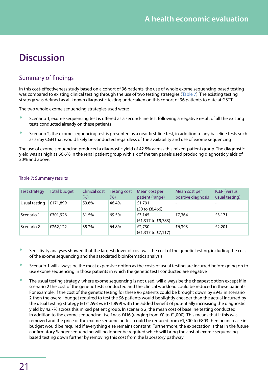# <span id="page-23-0"></span>**Discussion**

# Summary of findings

In this cost-effectiveness study based on a cohort of 96 patients, the use of whole exome sequencing based testing was compared to existing clinical testing through the use of two testing strategies ([Table 7\)](#page-23-1). The existing testing strategy was defined as all known diagnostic testing undertaken on this cohort of 96 patients to date at GSTT.

The two whole exome sequencing strategies used were:

- Scenario 1, exome sequencing test is offered as a second-line test following a negative result of all the existing tests conducted already on these patients
- Scenario 2, the exome sequencing test is presented as a near first-line test, in addition to any baseline tests such as array CGH that would likely be conducted regardless of the availability and use of exome sequencing

The use of exome sequencing produced a diagnostic yield of 42.5% across this mixed-patient group. The diagnostic yield was as high as 66.6% in the renal patient group with six of the ten panels used producing diagnostic yields of 30% and above.

| <b>Test strategy</b> | Total budget | Clinical cost<br>(%) | Testing cost<br>(%) | Mean cost per<br>patient (range)        | Mean cost per<br>positive diagnosis | <b>ICER</b> (versus<br>usual testing) |
|----------------------|--------------|----------------------|---------------------|-----------------------------------------|-------------------------------------|---------------------------------------|
| Usual testing        | £171,899     | 53.6%                | 46.4%               | £1,791<br>(£0 to £8,466)                | -                                   |                                       |
| Scenario 1           | £301,926     | 31.5%                | 69.5%               | £3,145<br>$(E1,317)$ to £9,783)         | £7,364                              | £3,171                                |
| Scenario 2           | £262,122     | 35.2%                | 64.8%               | £2,730<br>$(E1,317 \text{ to } E7,117)$ | £6,393                              | £2,201                                |

### <span id="page-23-1"></span>Table 7: Summary results

- Sensitivity analyses showed that the largest driver of cost was the cost of the genetic testing, including the cost of the exome sequencing and the associated bioinformatics analysis
- <sup>o</sup> Scenario 1 will always be the most expensive option as the costs of usual testing are incurred before going on to use exome sequencing in those patients in which the genetic tests conducted are negative
- The usual testing strategy, where exome sequencing is not used, will always be the cheapest option except if in scenario 2 the cost of the genetic tests conducted and the clinical workload could be reduced in these patients. For example, if the cost of the genetic testing for these 96 patients could be brought down by £943 in scenario 2 then the overall budget required to test the 96 patients would be slightly cheaper than the actual incurred by the usual testing strategy (£171,593 vs £171,899) with the added benefit of potentially increasing the diagnostic yield by 42.7% across this mixed patient group. In scenario 2, the mean cost of baseline testing conducted in addition to the exome sequencing itself was £416 (ranging from £0 to £1,000). This means that if this was removed and the price of the exome sequencing test could be reduced from £1,300 to £803 then no increase in budget would be required if everything else remains constant. Furthermore, the expectation is that in the future confirmatory Sanger sequencing will no longer be required which will bring the cost of exome sequencingbased testing down further by removing this cost from the laboratory pathway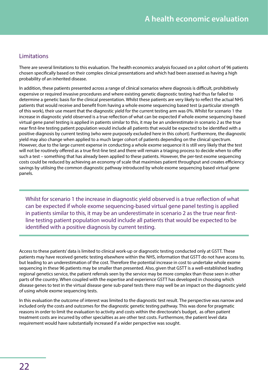### <span id="page-24-0"></span>Limitations

There are several limitations to this evaluation. The health economics analysis focused on a pilot cohort of 96 patients chosen specifically based on their complex clinical presentations and which had been assessed as having a high probability of an inherited disease.

In addition, these patients presented across a range of clinical scenarios where diagnosis is difficult, prohibitively expensive or required invasive procedures and where existing genetic diagnostic testing had thus far failed to determine a genetic basis for the clinical presentation. Whilst these patients are very likely to reflect the actual NHS patients that would receive and benefit from having a whole exome sequencing based test (a particular strength of this work), their use meant that the diagnostic yield for the current testing arm was 0%. Whilst for scenario 1 the increase in diagnostic yield observed is a true reflection of what can be expected if whole exome sequencing-based virtual gene panel testing is applied in patients similar to this, it may be an underestimate in scenario 2 as the true near first-line testing patient population would include all patients that would be expected to be identified with a positive diagnosis by current testing (who were purposely excluded here in this cohort). Furthermore, the diagnostic yield may also change when applied to a much larger cohort of patients depending on the clinical spectrum. However, due to the large current expense in conducting a whole exome sequence it is still very likely that the test will not be routinely offered as a true first-line test and there will remain a triaging process to decide when to offer such a test – something that has already been applied to these patients. However, the per-test exome sequencing costs could be reduced by achieving an economy of scale that maximises patient throughput and creates efficiency savings by utilising the common diagnostic pathway introduced by whole exome sequencing based virtual gene panels.

Whilst for scenario 1 the increase in diagnostic yield observed is a true reflection of what can be expected if whole exome sequencing-based virtual gene panel testing is applied in patients similar to this, it may be an underestimate in scenario 2 as the true near firstline testing patient population would include all patients that would be expected to be identified with a positive diagnosis by current testing.

Access to these patients' data is limited to clinical work-up or diagnostic testing conducted only at GSTT. These patients may have received genetic testing elsewhere within the NHS, information that GSTT do not have access to, but leading to an underestimation of the cost. Therefore the potential increase in cost to undertake whole exome sequencing in these 96 patients may be smaller than presented. Also, given that GSTT is a well-established leading regional genetics service, the patient referrals seen by the service may be more complex than those seen in other parts of the country. When coupled with the expertise and experience GSTT has developed in choosing which disease genes to test in the virtual disease gene sub-panel tests there may well be an impact on the diagnostic yield of using whole exome sequencing tests.

In this evaluation the outcome of interest was limited to the diagnostic test result. The perspective was narrow and included only the costs and outcomes for the diagnostic genetic testing pathway. This was done for pragmatic reasons in order to limit the evaluation to activity and costs within the directorate's budget, as often patient treatment costs are incurred by other specialties as are other test costs. Furthermore, the patient level data requirement would have substantially increased if a wider perspective was sought.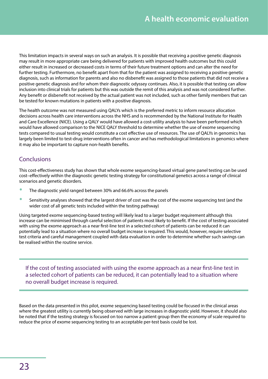<span id="page-25-0"></span>This limitation impacts in several ways on such an analysis. It is possible that receiving a positive genetic diagnosis may result in more appropriate care being delivered for patients with improved health outcomes but this could either result in increased or decreased costs in terms of their future treatment options and can alter the need for further testing. Furthermore, no benefit apart from that for the patient was assigned to receiving a positive genetic diagnosis, such as information for parents and also no disbenefit was assigned to those patients that did not receive a positive genetic diagnosis and for whom their diagnostic odyssey continues. Also, it is possible that testing can allow inclusion into clinical trials for patients but this was outside the remit of this analysis and was not considered further. Any benefit or disbenefit not received by the actual patient was not included, such as other family members that can be tested for known mutations in patients with a positive diagnosis.

The health outcome was not measured using QALYs which is the preferred metric to inform resource allocation decisions across health care interventions across the NHS and is recommended by the National Institute for Health and Care Excellence (NICE). Using a QALY would have allowed a cost-utility analysis to have been performed which would have allowed comparison to the NICE QALY threshold to determine whether the use of exome sequencing tests compared to usual testing would constitute a cost effective use of resources. The use of QALYs in genomics has largely been limited to test-drug interventions often in cancer and has methodological limitations in genomics where it may also be important to capture non-health benefits.

# Conclusions

This cost-effectiveness study has shown that whole exome sequencing-based virtual gene panel testing can be used cost–effectively within the diagnostic genetic testing strategy for constitutional genetics across a range of clinical scenarios and genetic disorders.

- The diagnostic yield ranged between 30% and 66.6% across the panels
- Sensitivity analyses showed that the largest driver of cost was the cost of the exome sequencing test (and the wider cost of all genetic tests included within the testing pathway)

Using targeted exome sequencing-based testing will likely lead to a larger budget requirement although this increase can be minimised through careful selection of patients most likely to benefit. If the cost of testing associated with using the exome approach as a near first-line test in a selected cohort of patients can be reduced it can potentially lead to a situation where no overall budget increase is required. This would, however, require selective test criteria and careful management coupled with data evaluation in order to determine whether such savings can be realised within the routine service.

If the cost of testing associated with using the exome approach as a near first-line test in a selected cohort of patients can be reduced, it can potentially lead to a situation where no overall budget increase is required.

Based on the data presented in this pilot, exome sequencing based testing could be focused in the clinical areas where the greatest utility is currently being observed with large increases in diagnostic yield. However, it should also be noted that if the testing strategy is focused on too narrow a patient group then the economy of scale required to reduce the price of exome sequencing testing to an acceptable per-test basis could be lost.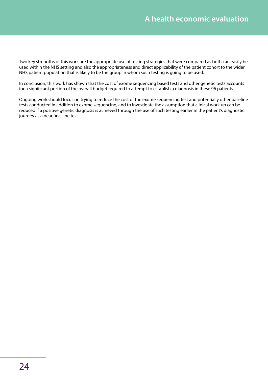Two key strengths of this work are the appropriate use of testing strategies that were compared as both can easily be used within the NHS setting and also the appropriateness and direct applicability of the patient cohort to the wider NHS patient population that is likely to be the group in whom such testing is going to be used.

In conclusion, this work has shown that the cost of exome sequencing based tests and other genetic tests accounts for a significant portion of the overall budget required to attempt to establish a diagnosis in these 96 patients.

Ongoing work should focus on trying to reduce the cost of the exome sequencing test and potentially other baseline tests conducted in addition to exome sequencing, and to investigate the assumption that clinical work up can be reduced if a positive genetic diagnosis is achieved through the use of such testing earlier in the patient's diagnostic journey as a near first-line test.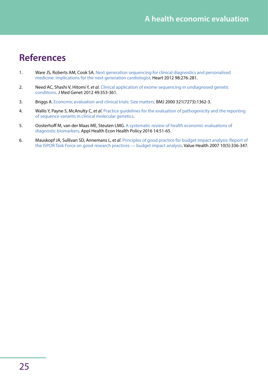# <span id="page-27-0"></span>**References**

- <span id="page-27-1"></span>1. Ware JS, Roberts AM, Cook SA. Next generation sequencing for clinical diagnostics and personalised [medicine: implications for the next generation cardiologist.](http://heart.bmj.com/content/98/4/276.long) Heart 2012 98:276-281.
- <span id="page-27-2"></span>2. Need AC, Shashi V, Hitomi Y, *et al*. [Clinical application of exome sequencing in undiagnosed genetic](http://jmg.bmj.com/content/49/6/353)  [conditions.](http://jmg.bmj.com/content/49/6/353) J Med Genet 2012 49:353-361.
- <span id="page-27-3"></span>3. Briggs A. [Economic evaluation and clinical trials: Size matters.](http://www.bmj.com/content/321/7273/1362) BMJ 2000 321(7273):1362-3.
- <span id="page-27-4"></span>4. Wallis Y, Payne S, McAnulty C, *et al*. [Practice guidelines for the evaluation of pathogenicity and the reporting](http://www.acgs.uk.com/media/774853/evaluation_and_reporting_of_sequence_variants_bpgs_june_2013_-_finalpdf.pdf)  [of sequence variants in clinical molecular genetics](http://www.acgs.uk.com/media/774853/evaluation_and_reporting_of_sequence_variants_bpgs_june_2013_-_finalpdf.pdf).
- <span id="page-27-5"></span>5. Oosterhoff M, van der Maas ME, Steuten LMG. [A systematic review of health economic evaluations of](https://www.ncbi.nlm.nih.gov/pubmed/26334528)  [diagnostic biomarkers.](https://www.ncbi.nlm.nih.gov/pubmed/26334528) Appl Health Econ Health Policy 2016 14:51-65.
- <span id="page-27-6"></span>6. Mauskopf JA, Sullivan SD, Annemans L, *et al*. [Principles of good practice for budget impact analysis: Report of](http://www.sciencedirect.com/science/article/pii/S1098301510604718?via%3Dihub)  [the ISPOR Task Force on good research practices — budget impact analysis](http://www.sciencedirect.com/science/article/pii/S1098301510604718?via%3Dihub). Value Health 2007 10(5):336-347.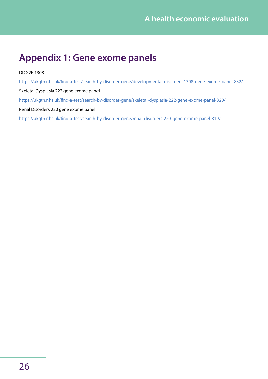# <span id="page-28-1"></span><span id="page-28-0"></span>**Appendix 1: Gene exome panels**

### DDG2P 1308

[https://ukgtn.nhs.uk/find-a-test/search-by-disorder-gene/developmental-disorders-1308-gene-exome-panel-832/](https://ukgtn.nhs.uk/find-a-test/search-by-disorder-gene/developmental-disorders-1308-gene-exome-pan) Skeletal Dysplasia 222 gene exome panel <https://ukgtn.nhs.uk/find-a-test/search-by-disorder-gene/skeletal-dysplasia-222-gene-exome-panel-820/> Renal Disorders 220 gene exome panel [https://ukgtn.nhs.uk/find-a-test/search-by-disorder-gene/renal-disorders-220-gene-exome-panel-819/](https://ukgtn.nhs.uk/find-a-test/search-by-disorder-gene/renal-disorders-220-gene-exome-panel-819/ )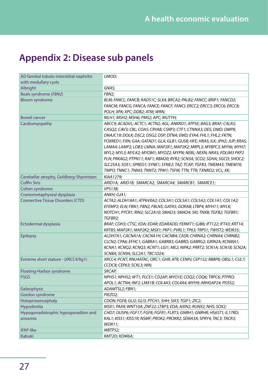# <span id="page-29-0"></span>**Appendix 2: Disease sub panels**

| AD familial tubulo-interstitial nephritis | UMOD;                                                                        |
|-------------------------------------------|------------------------------------------------------------------------------|
| with medullary cysts                      |                                                                              |
| Albright                                  | GNAS;                                                                        |
| Beals syndrome (FBN2)                     | FBN2;                                                                        |
| <b>Bloom syndrome</b>                     | BLM; FANCL; FANCB; RAD51C; SLX4; BRCA2; PALB2; FANCC; BRIP1; FANCD2;         |
|                                           | FANCM; FANCG; FANCA; FANCE; FANCF; FANCI; ERCC2; ERCC3; ERCC6; ERCC8;        |
|                                           | POLH; XPA; XPC; DDB2; ATM; WRN;                                              |
| <b>Bowel cancer</b>                       | MLH1; MSH2; MSH6; PMS2; APC; MUTYH;                                          |
| Cardiomyopathy                            | ABCC9; ACADVL; ACTC1; ACTN2; AGL; ANKRD1; ATP5E; BAG3; BRAF; CALR3;          |
|                                           | CASQ2; CAV3; CBL; COA5; CRYAB; CSRP3; CTF1; CTNNA3; DES; DMD; DMPK;          |
|                                           | DNAJC19; DOLK; DSC2; DSG2; DSP; DTNA; EMD; EYA4; FHL1; FHL2; FKTN;           |
|                                           | FOXRED1; FXN; GAA; GATAD1; GLA; GLB1; GUSB; HFE; HRAS; ILK; JPH2; JUP; KRAS; |
|                                           | LAMA4; LAMP2; LDB3; LMNA; MAP2K1; MAP2K2; MRPL3; MYBPC3; MYH6; MYH7;         |
|                                           | MYL2; MYL3; MYLK2; MYOM1; MYOZ2; MYPN; NEBL; NEXN; NRAS; PDLIM3 PKP2         |
|                                           | PLN; PRKAG2; PTPN11; RAF1; RBM20; RYR2; SCN5A; SCO2; SDHA; SGCD; SHOC2;      |
|                                           | SLC25A3; SOS1; SPRED1; SYNE1; SYNE2; TAZ; TCAP; TGFB3; TMEM43; TMEM70;       |
|                                           | TMPO; TNNC1; TNNI3; TNNT2; TPM1; TSFM; TTN; TTR; TXNRD2; VCL; XK;            |
| Cerebellar atrophy, Goldberg-Shprintzen   | KIAA1279;                                                                    |
| <b>Coffin Siris</b>                       | ARID1A; ARID1B; SMARCA2; SMARCA4; SMARCB1; SMARCE1;                          |
| Cohen syndrome                            | VPS13B;                                                                      |
| Craniometaphyseal dysplasia               | ANKH; GJA1;                                                                  |
| <b>Connective Tissue Disorders (CTD)</b>  | ACTA2; ALDH18A1; ATP6V0A2; COL3A1; COL5A1; COL5A2; COL1A1; COL1A2;           |
|                                           | EFEMP2; ELN; FBN1; FBN2; FBLN5; GATA5; GORAB; LTBP4; MYH11; MYLK;            |
|                                           | NOTCH1; PYCR1; RIN2; SLC2A10; SMAD3; SMAD4; SKI; TNXB; TGFB2; TGFBR1;        |
|                                           | TGFBR2;                                                                      |
| Ectodermal dysplasia                      | BRAF; CDH3; CTSC; EDA; EDAR; EDARADD; FERMT1; GJB6; IFT122; IFT43; KRT14;    |
|                                           | KRT85; MAP2K1; MAP2K2; MSX1; PKP1; PVRL1; TP63; TRPS1; TWIST2; WDR35;        |
| <b>Epilepsy</b>                           | ALDH7A1; CACNA1A; CACNA1H; CACNB4; CASR; CHRNA2; CHRNA4; CHRNB2;             |
|                                           | CLCN2; CPA6; EFHC1; GABRA1; GABRB3; GABRD; GABRG2; GRIN2A; KCNMA1;           |
|                                           | KCNA1; KCNQ2; KCNQ3; KCNT1; LGI1; ME2; NIPA2; PRRT2; SCN1A; SCN1B; SCN2A;    |
|                                           | SCN8A; SCN9A; SLC2A1; TBC1D24;                                               |
| Extreme short stature - (XRCC4/lig1)      | XRCC4; PCNT; RNU4ATAC; ORC1; GHR; ATR; CENPJ; CEP152; RBBP8; OBSL1; CUL7;    |
|                                           | CCDC8; CEP63; SCKL3; NIN;                                                    |
| Floating-Harbor syndrome                  | SRCAP;                                                                       |
| <b>FSGS</b>                               | NPHS1; NPHS2; WT1; PLCE1; CD2AP; MYO1E; COQ2; COQ6; TRPC6; PTPRO;            |
|                                           | APOL1; ACTN4; INF2; LMX1B; COL4A3; COL4A4; MYH9; ARHGAP24; PDSS2;            |
| Geleophysic                               | ADAMTSL2; FBN1;                                                              |
| Gordon syndrome                           | PIEZO2;                                                                      |
| Holoprosencephaly                         | CDON; FGF8; GLI2; GLI3; PTCH1; SHH; SIX3; TGIF1; ZIC2;                       |
| Hypodontia                                | MSX1; PAX9; WNT10A; ZNF22; LTBP3; EDA; AXIN2; RUNX2; NHS; SOX2;              |
| Hypogonadotrophic hypogonadism and        | CHD7; DUSP6; FGF17; FGF8; FGFR1; FLRT3; GNRH1; GNRHR; HS6ST1; IL17RD;        |
| anosmia                                   | KAL1; KISS1; KISS1R; NSMF; PROK2; PROKR2; SEMA3A; SPRY4; TAC3; TACR3;        |
|                                           | <b>WDR11;</b>                                                                |
| <b>IFAP-like</b>                          | MBTPS2;                                                                      |
| <b>Kabuki</b>                             | KMT2D; KDM6A;                                                                |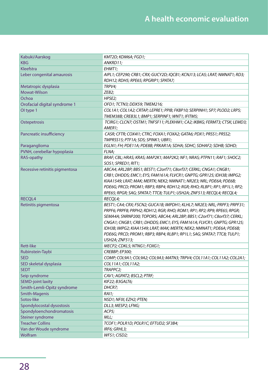| Kabuki/Aarskog                                    | KMT2D; KDM6A; FGD1;                                                       |
|---------------------------------------------------|---------------------------------------------------------------------------|
| <b>KBG</b>                                        | ANKRD11;                                                                  |
| Kleefstra                                         | EHMT1;                                                                    |
| Leber congenital amaurosis                        | AIPL1; CEP290; CRB1; CRX; GUCY2D; IQCB1; KCNJ13; LCA5; LRAT; NMNAT1; RD3; |
|                                                   | RDH12; RDH5; RPE65; RPGRIP1; SPATA7;                                      |
| Metatropic dysplasia                              | TRPV4;                                                                    |
| Mowat-Wilson                                      | ZEB2;                                                                     |
| Ochoa                                             | HPSE2;                                                                    |
| Orofacial digital syndrome 1                      | OFD1; TCTN3; DDX59; TMEM216;                                              |
| OI type 1                                         | COL1A1; COL1A2; CRTAP; LEPRE1; PPIB; FKBP10; SERPINH1; SP7; PLOD2; LRP5;  |
|                                                   | TMEM38B; CREB3L1; BMP1; SERPINF1; WNT1; IFITM5;                           |
| Ostepetrosis                                      | TCIRG1; CLCN7; OSTM1; TNFSF11; PLEKHM1; CA2; IKBKG; FERMT3; CTSK; LEMD3;  |
|                                                   | AMER1;                                                                    |
| Pancreatic insufficiency                          | CASR; CFTR; COX411; CTRC; FOXA1; FOXA2; GATA6; PDX1; PRSS1; PRSS2;        |
|                                                   | TMPRSS15; PTF1A; SDS; SPINK1; UBR1;                                       |
| Paraganglioma                                     | EGLN1; FH; PDE11A; PDE8B; PRKAR1A; SDHA; SDHC; SDHAF2; SDHB; SDHD;        |
| PVNH, cerebellar hypoplasia                       | FLNA;                                                                     |
| RAS-opathy                                        | BRAF; CBL; HRAS; KRAS; MAP2K1; MAP2K2; NF1; NRAS; PTPN11; RAF1; SHOC2;    |
|                                                   | SOS1; SPRED1; RIT1;                                                       |
| Recessive retinitis pigmentosa                    | ABCA4; ARL2BP; BBS1; BEST1; C2orf71; C8orf37; CERKL; CNGA1; CNGB1;        |
|                                                   | CRB1; DHDDS; EMC1; EYS; FAM161A; FLVCR1; GNPTG; GPR125; IDH3B; IMPG2;     |
|                                                   | KIAA1549; LRAT; MAK; MERTK; NEK2; NMNAT1; NR2E3; NRL; PDE6A; PDE6B;       |
|                                                   | PDE6G; PRCD; PROM1; RBP3; RBP4; RDH12; RGR; RHO; RLBP1; RP1; RP1L1; RP2;  |
|                                                   |                                                                           |
|                                                   | RPE65; RPGR; SAG; SPATA7; TTC8; TULP1; USH2A; ZNF513; RECQL4; RECQL4;     |
| RECQL4                                            | RECQL4;                                                                   |
| Retinitis pigmentosa                              | BEST1; CA4; CRX; FSCN2; GUCA1B; IMPDH1; KLHL7; NR2E3; NRL; PRPF3; PRPF31; |
|                                                   | PRPF6; PRPF8; PRPH2; RDH12; RGR; RHO; ROM1; RP1; RP2; RP9; RPE65; RPGR;   |
|                                                   | SEMA4A; SNRNP200; TOPORS; ABCA4; ARL2BP; BBS1; C2orf71; C8orf37; CERKL;   |
|                                                   | CNGA1; CNGB1; CRB1; DHDDS; EMC1; EYS; FAM161A; FLVCR1; GNPTG; GPR125;     |
|                                                   | IDH3B; IMPG2; KIAA1549; LRAT; MAK; MERTK; NEK2; NMNAT1; PDE6A; PDE6B;     |
|                                                   | PDE6G; PRCD; PROM1; RBP3; RBP4; RLBP1; RP1L1; SAG; SPATA7; TTC8; TULP1;   |
|                                                   | USH2A; ZNF513;                                                            |
| <b>Rett-like</b>                                  | MECP2; CDKL5; NTNG1; FOXG1;                                               |
| Rubinstein-Taybi                                  | CREBBP; EP300;                                                            |
| <b>SED</b>                                        | COMP; COL9A1; COL9A2; COL9A3; MATN3; TRPV4; COL11A1; COL11A2; COL2A1;     |
| SED skeletal dysplasia                            | COL11A1; COL11A2;                                                         |
| <b>SEDT</b>                                       | TRAPPC2;                                                                  |
| Seip syndrome                                     | CAV1; AGPAT2; BSCL2; PTRF;                                                |
| <b>SEMD-joint laxity</b>                          | KIF22; B3GALT6;                                                           |
| Smith-Lemli-Opitz syndrome                        | DHCR7;                                                                    |
| Smith-Magenis                                     | RA1;                                                                      |
| Sotos-like                                        | NSD1; NFIX; EZH2; PTEN;                                                   |
| Spondylocostal dysostosis                         | DLL3; MESP2; LFNG;                                                        |
| Spondyloenchondromatosis                          | ACP5;                                                                     |
| Steiner syndrome                                  | MLL;                                                                      |
| <b>Treacher Collins</b><br>Van der Woude syndrome | TCOF1; POLR1D; POLR1C; EFTUD2; SF3B4;<br>IRF6; GRHL3;                     |